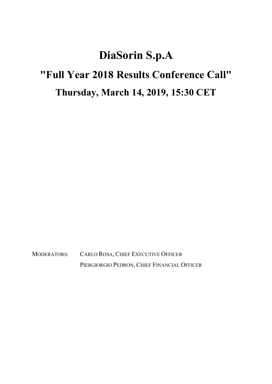## DiaSorin S.p.A "Full Year 2018 Results Conference Call" Thursday, March 14, 2019, 15:30 CET

MODERATORS: CARLO ROSA, CHIEF EXECUTIVE OFFICER PIERGIORGIO PEDRON, CHIEF FINANCIAL OFFICER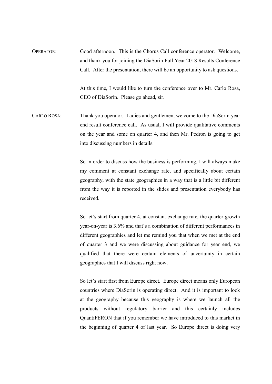OPERATOR: Good afternoon. This is the Chorus Call conference operator. Welcome, and thank you for joining the DiaSorin Full Year 2018 Results Conference Call. After the presentation, there will be an opportunity to ask questions.

> At this time, I would like to turn the conference over to Mr. Carlo Rosa, CEO of DiaSorin. Please go ahead, sir.

CARLO ROSA: Thank you operator. Ladies and gentlemen, welcome to the DiaSorin year end result conference call. As usual, I will provide qualitative comments on the year and some on quarter 4, and then Mr. Pedron is going to get into discussing numbers in details.

> So in order to discuss how the business is performing, I will always make my comment at constant exchange rate, and specifically about certain geography, with the state geographies in a way that is a little bit different from the way it is reported in the slides and presentation everybody has received.

> So let's start from quarter 4, at constant exchange rate, the quarter growth year-on-year is 3.6% and that's a combination of different performances in different geographies and let me remind you that when we met at the end of quarter 3 and we were discussing about guidance for year end, we qualified that there were certain elements of uncertainty in certain geographies that I will discuss right now.

> So let's start first from Europe direct. Europe direct means only European countries where DiaSorin is operating direct. And it is important to look at the geography because this geography is where we launch all the products without regulatory barrier and this certainly includes QuantiFERON that if you remember we have introduced to this market in the beginning of quarter 4 of last year. So Europe direct is doing very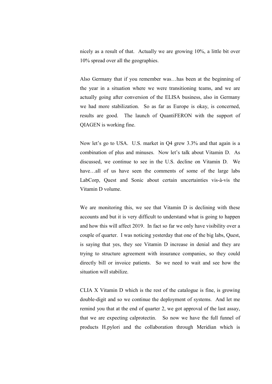nicely as a result of that. Actually we are growing 10%, a little bit over 10% spread over all the geographies.

 Also Germany that if you remember was…has been at the beginning of the year in a situation where we were transitioning teams, and we are actually going after conversion of the ELISA business, also in Germany we had more stabilization. So as far as Europe is okay, is concerned, results are good. The launch of QuantiFERON with the support of QIAGEN is working fine.

 Now let's go to USA. U.S. market in Q4 grew 3.3% and that again is a combination of plus and minuses. Now let's talk about Vitamin D. As discussed, we continue to see in the U.S. decline on Vitamin D. We have...all of us have seen the comments of some of the large labs LabCorp, Quest and Sonic about certain uncertainties vis-à-vis the Vitamin D volume.

 We are monitoring this, we see that Vitamin D is declining with these accounts and but it is very difficult to understand what is going to happen and how this will affect 2019. In fact so far we only have visibility over a couple of quarter. I was noticing yesterday that one of the big labs, Quest, is saying that yes, they see Vitamin D increase in denial and they are trying to structure agreement with insurance companies, so they could directly bill or invoice patients. So we need to wait and see how the situation will stabilize.

 CLIA X Vitamin D which is the rest of the catalogue is fine, is growing double-digit and so we continue the deployment of systems. And let me remind you that at the end of quarter 2, we got approval of the last assay, that we are expecting calprotectin. So now we have the full funnel of products H.pylori and the collaboration through Meridian which is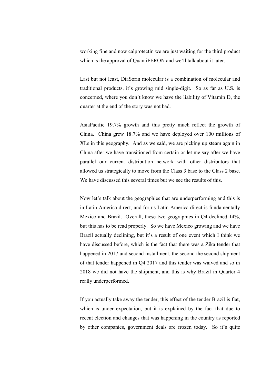working fine and now calprotectin we are just waiting for the third product which is the approval of QuantiFERON and we'll talk about it later.

 Last but not least, DiaSorin molecular is a combination of molecular and traditional products, it's growing mid single-digit. So as far as U.S. is concerned, where you don't know we have the liability of Vitamin D, the quarter at the end of the story was not bad.

 AsiaPacific 19.7% growth and this pretty much reflect the growth of China. China grew 18.7% and we have deployed over 100 millions of XLs in this geography. And as we said, we are picking up steam again in China after we have transitioned from certain or let me say after we have parallel our current distribution network with other distributors that allowed us strategically to move from the Class 3 base to the Class 2 base. We have discussed this several times but we see the results of this.

 Now let's talk about the geographies that are underperforming and this is in Latin America direct, and for us Latin America direct is fundamentally Mexico and Brazil. Overall, these two geographies in Q4 declined 14%, but this has to be read properly. So we have Mexico growing and we have Brazil actually declining, but it's a result of one event which I think we have discussed before, which is the fact that there was a Zika tender that happened in 2017 and second installment, the second the second shipment of that tender happened in Q4 2017 and this tender was waived and so in 2018 we did not have the shipment, and this is why Brazil in Quarter 4 really underperformed.

 If you actually take away the tender, this effect of the tender Brazil is flat, which is under expectation, but it is explained by the fact that due to recent election and changes that was happening in the country as reported by other companies, government deals are frozen today. So it's quite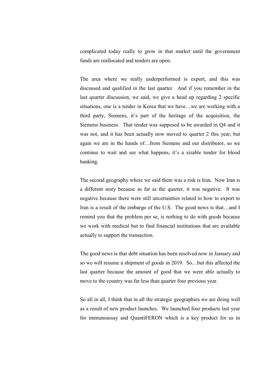complicated today really to grow in that market until the government funds are reallocated and tenders are open.

 The area where we really underperformed is export, and this was discussed and qualified in the last quarter. And if you remember in the last quarter discussion, we said, we give a head up regarding 2 specific situations, one is a tender in Korea that we have…we are working with a third party, Siemens, it's part of the heritage of the acquisition, the Siemens business. That tender was supposed to be awarded in Q4 and it was not, and it has been actually now moved to quarter 2 this year, but again we are in the hands of…from Siemens and our distributor, so we continue to wait and see what happens, it's a sizable tender for blood banking.

 The second geography where we said there was a risk is Iran. Now Iran is a different story because as far as the quarter, it was negative. It was negative because there were still uncertainties related to how to export to Iran is a result of the embargo of the U.S. The good news is that…and I remind you that the problem per se, is nothing to do with goods because we work with medical but to find financial institutions that are available actually to support the transaction.

 The good news is that debt situation has been resolved now in January and so we will resume a shipment of goods in 2019. So…but this affected the last quarter because the amount of good that we were able actually to move to the country was far less than quarter four previous year.

 So all in all, I think that in all the strategic geographies we are doing well as a result of new product launches. We launched four products last year for immunoassay and QuantiFERON which is a key product for us in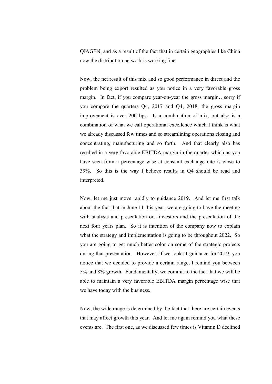QIAGEN, and as a result of the fact that in certain geographies like China now the distribution network is working fine.

 Now, the net result of this mix and so good performance in direct and the problem being export resulted as you notice in a very favorable gross margin. In fact, if you compare year-on-year the gross margin…sorry if you compare the quarters Q4, 2017 and Q4, 2018, the gross margin improvement is over 200 bps. Is a combination of mix, but also is a combination of what we call operational excellence which I think is what we already discussed few times and so streamlining operations closing and concentrating, manufacturing and so forth. And that clearly also has resulted in a very favorable EBITDA margin in the quarter which as you have seen from a percentage wise at constant exchange rate is close to 39%. So this is the way I believe results in Q4 should be read and interpreted.

 Now, let me just move rapidly to guidance 2019. And let me first talk about the fact that in June 11 this year, we are going to have the meeting with analysts and presentation or…investors and the presentation of the next four years plan. So it is intention of the company now to explain what the strategy and implementation is going to be throughout 2022. So you are going to get much better color on some of the strategic projects during that presentation. However, if we look at guidance for 2019, you notice that we decided to provide a certain range, I remind you between 5% and 8% growth. Fundamentally, we commit to the fact that we will be able to maintain a very favorable EBITDA margin percentage wise that we have today with the business.

 Now, the wide range is determined by the fact that there are certain events that may affect growth this year. And let me again remind you what these events are. The first one, as we discussed few times is Vitamin D declined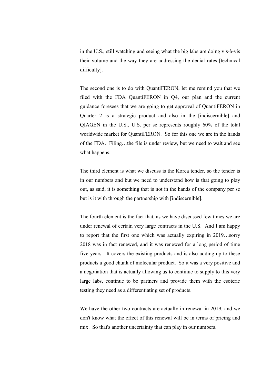in the U.S., still watching and seeing what the big labs are doing vis-à-vis their volume and the way they are addressing the denial rates [technical difficulty].

 The second one is to do with QuantiFERON, let me remind you that we filed with the FDA QuantiFERON in Q4, our plan and the current guidance foresees that we are going to get approval of QuantiFERON in Quarter 2 is a strategic product and also in the [indiscernible] and QIAGEN in the U.S., U.S. per se represents roughly 60% of the total worldwide market for QuantiFERON. So for this one we are in the hands of the FDA. Filing…the file is under review, but we need to wait and see what happens.

 The third element is what we discuss is the Korea tender, so the tender is in our numbers and but we need to understand how is that going to play out, as said, it is something that is not in the hands of the company per se but is it with through the partnership with [indiscernible].

 The fourth element is the fact that, as we have discussed few times we are under renewal of certain very large contracts in the U.S. And I am happy to report that the first one which was actually expiring in 2019…sorry 2018 was in fact renewed, and it was renewed for a long period of time five years. It covers the existing products and is also adding up to these products a good chunk of molecular product. So it was a very positive and a negotiation that is actually allowing us to continue to supply to this very large labs, continue to be partners and provide them with the esoteric testing they need as a differentiating set of products.

 We have the other two contracts are actually in renewal in 2019, and we don't know what the effect of this renewal will be in terms of pricing and mix. So that's another uncertainty that can play in our numbers.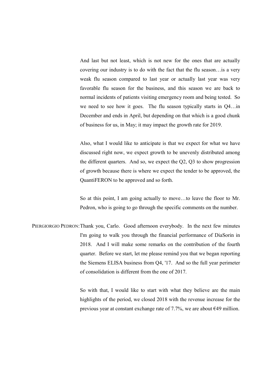And last but not least, which is not new for the ones that are actually covering our industry is to do with the fact that the flu season…is a very weak flu season compared to last year or actually last year was very favorable flu season for the business, and this season we are back to normal incidents of patients visiting emergency room and being tested. So we need to see how it goes. The flu season typically starts in Q4…in December and ends in April, but depending on that which is a good chunk of business for us, in May; it may impact the growth rate for 2019.

 Also, what I would like to anticipate is that we expect for what we have discussed right now, we expect growth to be unevenly distributed among the different quarters. And so, we expect the Q2, Q3 to show progression of growth because there is where we expect the tender to be approved, the QuantiFERON to be approved and so forth.

 So at this point, I am going actually to move…to leave the floor to Mr. Pedron, who is going to go through the specific comments on the number.

PIERGIORGIO PEDRON: Thank you, Carlo. Good afternoon everybody. In the next few minutes I'm going to walk you through the financial performance of DiaSorin in 2018. And I will make some remarks on the contribution of the fourth quarter. Before we start, let me please remind you that we began reporting the Siemens ELISA business from Q4, '17. And so the full year perimeter of consolidation is different from the one of 2017.

> So with that, I would like to start with what they believe are the main highlights of the period, we closed 2018 with the revenue increase for the previous year at constant exchange rate of 7.7%, we are about  $\epsilon$ 49 million.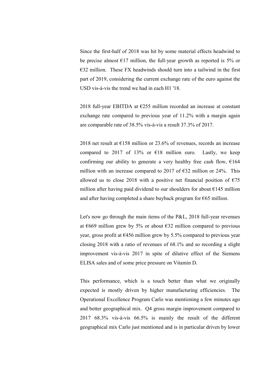Since the first-half of 2018 was hit by some material effects headwind to be precise almost  $E17$  million, the full-year growth as reported is 5% or  $E$ 32 million. These FX headwinds should turn into a tailwind in the first part of 2019, considering the current exchange rate of the euro against the USD vis-à-vis the trend we had in each H1 '18.

2018 full-year EBITDA at  $E$ 255 million recorded an increase at constant exchange rate compared to previous year of 11.2% with a margin again are comparable rate of 38.5% vis-à-vis a result 37.3% of 2017.

2018 net result at  $\epsilon$ 158 million or 23.6% of revenues, records an increase compared to 2017 of 13% or  $\epsilon$ 18 million euro. Lastly, we keep confirming our ability to generate a very healthy free cash flow,  $€164$ million with an increase compared to 2017 of  $\epsilon$ 32 million or 24%. This allowed us to close 2018 with a positive net financial position of  $\epsilon$ 75 million after having paid dividend to our shoulders for about  $\epsilon$ 145 million and after having completed a share buyback program for  $\epsilon$ 65 million.

 Let's now go through the main items of the P&L, 2018 full-year revenues at  $6669$  million grew by 5% or about  $632$  million compared to previous year, gross profit at  $\epsilon$ 456 million grew by 5.5% compared to previous year closing 2018 with a ratio of revenues of 68.1% and so recording a slight improvement vis-à-vis 2017 in spite of dilutive effect of the Siemens ELISA sales and of some price pressure on Vitamin D.

 This performance, which is a touch better than what we originally expected is mostly driven by higher manufacturing efficiencies. The Operational Excellence Program Carlo was mentioning a few minutes ago and better geographical mix. Q4 gross margin improvement compared to 2017 68.3% vis-à-vis 66.5% is mainly the result of the different geographical mix Carlo just mentioned and is in particular driven by lower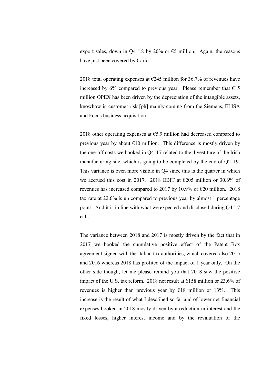export sales, down in Q4 '18 by 20% or  $\epsilon$ 5 million. Again, the reasons have just been covered by Carlo.

2018 total operating expenses at  $\epsilon$ 245 million for 36.7% of revenues have increased by 6% compared to previous year. Please remember that  $E15$ million OPEX has been driven by the depreciation of the intangible assets, knowhow in customer risk [ph] mainly coming from the Siemens, ELISA and Focus business acquisition.

2018 other operating expenses at  $65.9$  million had decreased compared to previous year by about  $\epsilon$ 10 million. This difference is mostly driven by the one-off costs we booked in Q4 '17 related to the divestiture of the Irish manufacturing site, which is going to be completed by the end of Q2 '19. This variance is even more visible in Q4 since this is the quarter in which we accrued this cost in 2017. 2018 EBIT at €205 million or 30.6% of revenues has increased compared to 2017 by 10.9% or  $\epsilon$ 20 million. 2018 tax rate at 22.6% is up compared to previous year by almost 1 percentage point. And it is in line with what we expected and disclosed during Q4 '17 call.

 The variance between 2018 and 2017 is mostly driven by the fact that in 2017 we booked the cumulative positive effect of the Patent Box agreement signed with the Italian tax authorities, which covered also 2015 and 2016 whereas 2018 has profited of the impact of 1 year only. On the other side though, let me please remind you that 2018 saw the positive impact of the U.S. tax reform. 2018 net result at  $\epsilon$ 158 million or 23.6% of revenues is higher than previous year by  $E18$  million or 13%. This increase is the result of what I described so far and of lower net financial expenses booked in 2018 mostly driven by a reduction in interest and the fixed losses, higher interest income and by the revaluation of the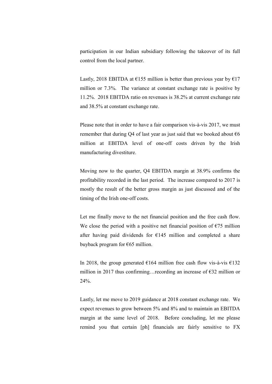participation in our Indian subsidiary following the takeover of its full control from the local partner.

Lastly, 2018 EBITDA at  $\epsilon$ 155 million is better than previous year by  $\epsilon$ 17 million or 7.3%. The variance at constant exchange rate is positive by 11.2%. 2018 EBITDA ratio on revenues is 38.2% at current exchange rate and 38.5% at constant exchange rate.

 Please note that in order to have a fair comparison vis-à-vis 2017, we must remember that during Q4 of last year as just said that we booked about  $\epsilon$ 6 million at EBITDA level of one-off costs driven by the Irish manufacturing divestiture.

 Moving now to the quarter, Q4 EBITDA margin at 38.9% confirms the profitability recorded in the last period. The increase compared to 2017 is mostly the result of the better gross margin as just discussed and of the timing of the Irish one-off costs.

 Let me finally move to the net financial position and the free cash flow. We close the period with a positive net financial position of  $\epsilon$ 75 million after having paid dividends for  $E145$  million and completed a share buyback program for €65 million.

In 2018, the group generated  $\epsilon$ 164 million free cash flow vis-à-vis  $\epsilon$ 132 million in 2017 thus confirming…recording an increase of  $\epsilon$ 32 million or 24%.

 Lastly, let me move to 2019 guidance at 2018 constant exchange rate. We expect revenues to grow between 5% and 8% and to maintain an EBITDA margin at the same level of 2018. Before concluding, let me please remind you that certain [ph] financials are fairly sensitive to FX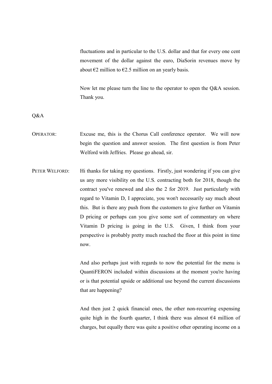fluctuations and in particular to the U.S. dollar and that for every one cent movement of the dollar against the euro, DiaSorin revenues move by about  $\epsilon$ 2 million to  $\epsilon$ 2.5 million on an yearly basis.

 Now let me please turn the line to the operator to open the Q&A session. Thank you.

Q&A

- OPERATOR: Excuse me, this is the Chorus Call conference operator. We will now begin the question and answer session. The first question is from Peter Welford with Jeffries. Please go ahead, sir.
- PETER WELFORD: Hi thanks for taking my questions. Firstly, just wondering if you can give us any more visibility on the U.S. contracting both for 2018, though the contract you've renewed and also the 2 for 2019. Just particularly with regard to Vitamin D, I appreciate, you won't necessarily say much about this. But is there any push from the customers to give further on Vitamin D pricing or perhaps can you give some sort of commentary on where Vitamin D pricing is going in the U.S. Given, I think from your perspective is probably pretty much reached the floor at this point in time now.

 And also perhaps just with regards to now the potential for the menu is QuantiFERON included within discussions at the moment you're having or is that potential upside or additional use beyond the current discussions that are happening?

 And then just 2 quick financial ones, the other non-recurring expensing quite high in the fourth quarter, I think there was almost  $\epsilon$ 4 million of charges, but equally there was quite a positive other operating income on a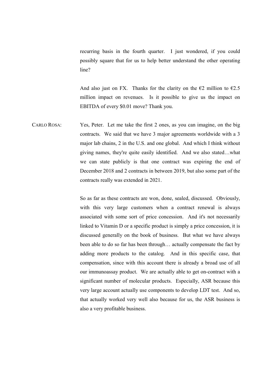recurring basis in the fourth quarter. I just wondered, if you could possibly square that for us to help better understand the other operating line?

And also just on FX. Thanks for the clarity on the  $\epsilon$ 2 million to  $\epsilon$ 2.5 million impact on revenues. Is it possible to give us the impact on EBITDA of every \$0.01 move? Thank you.

CARLO ROSA: Yes, Peter. Let me take the first 2 ones, as you can imagine, on the big contracts. We said that we have 3 major agreements worldwide with a 3 major lab chains, 2 in the U.S. and one global. And which I think without giving names, they're quite easily identified. And we also stated…what we can state publicly is that one contract was expiring the end of December 2018 and 2 contracts in between 2019, but also some part of the contracts really was extended in 2021.

> So as far as these contracts are won, done, sealed, discussed. Obviously, with this very large customers when a contract renewal is always associated with some sort of price concession. And it's not necessarily linked to Vitamin D or a specific product is simply a price concession, it is discussed generally on the book of business. But what we have always been able to do so far has been through… actually compensate the fact by adding more products to the catalog. And in this specific case, that compensation, since with this account there is already a broad use of all our immunoassay product. We are actually able to get on-contract with a significant number of molecular products. Especially, ASR because this very large account actually use components to develop LDT test. And so, that actually worked very well also because for us, the ASR business is also a very profitable business.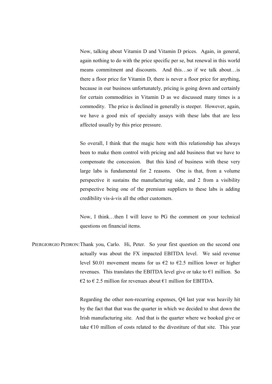Now, talking about Vitamin D and Vitamin D prices. Again, in general, again nothing to do with the price specific per se, but renewal in this world means commitment and discounts. And this…so if we talk about…is there a floor price for Vitamin D, there is never a floor price for anything, because in our business unfortunately, pricing is going down and certainly for certain commodities in Vitamin D as we discussed many times is a commodity. The price is declined in generally is steeper. However, again, we have a good mix of specialty assays with these labs that are less affected usually by this price pressure.

 So overall, I think that the magic here with this relationship has always been to make them control with pricing and add business that we have to compensate the concession. But this kind of business with these very large labs is fundamental for 2 reasons. One is that, from a volume perspective it sustains the manufacturing side, and 2 from a visibility perspective being one of the premium suppliers to these labs is adding credibility vis-à-vis all the other customers.

 Now, I think…then I will leave to PG the comment on your technical questions on financial items.

PIERGIORGIO PEDRON: Thank you, Carlo. Hi, Peter. So your first question on the second one actually was about the FX impacted EBITDA level. We said revenue level \$0.01 movement means for us  $\epsilon$ 2 to  $\epsilon$ 2.5 million lower or higher revenues. This translates the EBITDA level give or take to  $\epsilon$ 1 million. So  $\epsilon$ 2 to  $\epsilon$  2.5 million for revenues about  $\epsilon$ 1 million for EBITDA.

> Regarding the other non-recurring expenses, Q4 last year was heavily hit by the fact that that was the quarter in which we decided to shut down the Irish manufacturing site. And that is the quarter where we booked give or take  $E10$  million of costs related to the divestiture of that site. This year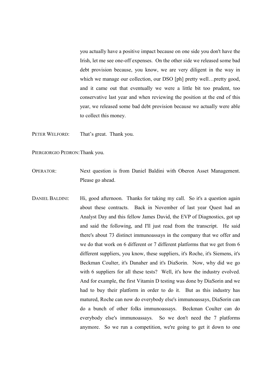you actually have a positive impact because on one side you don't have the Irish, let me see one-off expenses. On the other side we released some bad debt provision because, you know, we are very diligent in the way in which we manage our collection, our DSO [ph] pretty well...pretty good, and it came out that eventually we were a little bit too prudent, too conservative last year and when reviewing the position at the end of this year, we released some bad debt provision because we actually were able to collect this money.

PETER WELFORD: That's great. Thank you.

PIERGIORGIO PEDRON: Thank you.

- OPERATOR: Next question is from Daniel Baldini with Oberon Asset Management. Please go ahead.
- DANIEL BALDINI: Hi, good afternoon. Thanks for taking my call. So it's a question again about these contracts. Back in November of last year Quest had an Analyst Day and this fellow James David, the EVP of Diagnostics, got up and said the following, and I'll just read from the transcript. He said there's about 73 distinct immunoassays in the company that we offer and we do that work on 6 different or 7 different platforms that we get from 6 different suppliers, you know, these suppliers, it's Roche, it's Siemens, it's Beckman Coulter, it's Danaher and it's DiaSorin. Now, why did we go with 6 suppliers for all these tests? Well, it's how the industry evolved. And for example, the first Vitamin D testing was done by DiaSorin and we had to buy their platform in order to do it. But as this industry has matured, Roche can now do everybody else's immunoassays, DiaSorin can do a bunch of other folks immunoassays. Beckman Coulter can do everybody else's immunoassays. So we don't need the 7 platforms anymore. So we run a competition, we're going to get it down to one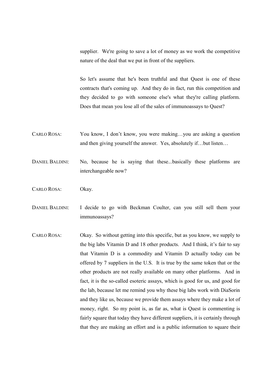supplier. We're going to save a lot of money as we work the competitive nature of the deal that we put in front of the suppliers.

 So let's assume that he's been truthful and that Quest is one of these contracts that's coming up. And they do in fact, run this competition and they decided to go with someone else's what they're calling platform. Does that mean you lose all of the sales of immunoassays to Quest?

- CARLO ROSA: You know, I don't know, you were making…you are asking a question and then giving yourself the answer. Yes, absolutely if…but listen…
- DANIEL BALDINI: No, because he is saying that these...basically these platforms are interchangeable now?
- CARLO ROSA: Okay.
- DANIEL BALDINI: I decide to go with Beckman Coulter, can you still sell them your immunoassays?
- CARLO ROSA: Okay. So without getting into this specific, but as you know, we supply to the big labs Vitamin D and 18 other products. And I think, it's fair to say that Vitamin D is a commodity and Vitamin D actually today can be offered by 7 suppliers in the U.S. It is true by the same token that or the other products are not really available on many other platforms. And in fact, it is the so-called esoteric assays, which is good for us, and good for the lab, because let me remind you why these big labs work with DiaSorin and they like us, because we provide them assays where they make a lot of money, right. So my point is, as far as, what is Quest is commenting is fairly square that today they have different suppliers, it is certainly through that they are making an effort and is a public information to square their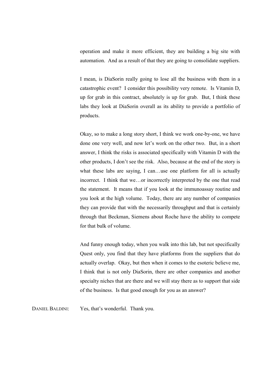operation and make it more efficient, they are building a big site with automation. And as a result of that they are going to consolidate suppliers.

 I mean, is DiaSorin really going to lose all the business with them in a catastrophic event? I consider this possibility very remote. Is Vitamin D, up for grab in this contract, absolutely is up for grab. But, I think these labs they look at DiaSorin overall as its ability to provide a portfolio of products.

 Okay, so to make a long story short, I think we work one-by-one, we have done one very well, and now let's work on the other two. But, in a short answer, I think the risks is associated specifically with Vitamin D with the other products, I don't see the risk. Also, because at the end of the story is what these labs are saying, I can…use one platform for all is actually incorrect. I think that we…or incorrectly interpreted by the one that read the statement. It means that if you look at the immunoassay routine and you look at the high volume. Today, there are any number of companies they can provide that with the necessarily throughput and that is certainly through that Beckman, Siemens about Roche have the ability to compete for that bulk of volume.

 And funny enough today, when you walk into this lab, but not specifically Quest only, you find that they have platforms from the suppliers that do actually overlap. Okay, but then when it comes to the esoteric believe me, I think that is not only DiaSorin, there are other companies and another specialty niches that are there and we will stay there as to support that side of the business. Is that good enough for you as an answer?

DANIEL BALDINI: Yes, that's wonderful. Thank you.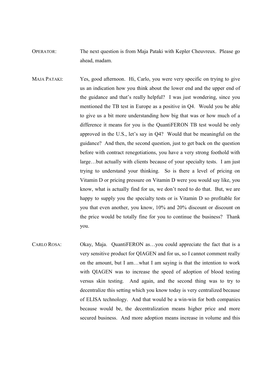OPERATOR: The next question is from Maja Pataki with Kepler Cheuvreux. Please go ahead, madam.

- MAJA PATAKI: Yes, good afternoon. Hi, Carlo, you were very specific on trying to give us an indication how you think about the lower end and the upper end of the guidance and that's really helpful? I was just wondering, since you mentioned the TB test in Europe as a positive in Q4. Would you be able to give us a bit more understanding how big that was or how much of a difference it means for you is the QuantiFERON TB test would be only approved in the U.S., let's say in Q4? Would that be meaningful on the guidance? And then, the second question, just to get back on the question before with contract renegotiations, you have a very strong foothold with large…but actually with clients because of your specialty tests. I am just trying to understand your thinking. So is there a level of pricing on Vitamin D or pricing pressure on Vitamin D were you would say like, you know, what is actually find for us, we don't need to do that. But, we are happy to supply you the specialty tests or is Vitamin D so profitable for you that even another, you know, 10% and 20% discount or discount on the price would be totally fine for you to continue the business? Thank you.
- CARLO ROSA: Okay, Maja. QuantiFERON as…you could appreciate the fact that is a very sensitive product for QIAGEN and for us, so I cannot comment really on the amount, but I am…what I am saying is that the intention to work with QIAGEN was to increase the speed of adoption of blood testing versus skin testing. And again, and the second thing was to try to decentralize this setting which you know today is very centralized because of ELISA technology. And that would be a win-win for both companies because would be, the decentralization means higher price and more secured business. And more adoption means increase in volume and this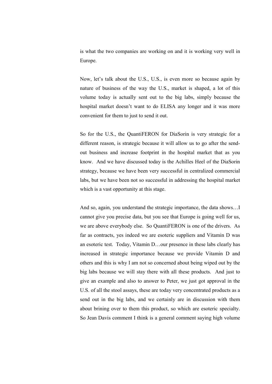is what the two companies are working on and it is working very well in Europe.

 Now, let's talk about the U.S., U.S., is even more so because again by nature of business of the way the U.S., market is shaped, a lot of this volume today is actually sent out to the big labs, simply because the hospital market doesn't want to do ELISA any longer and it was more convenient for them to just to send it out.

 So for the U.S., the QuantiFERON for DiaSorin is very strategic for a different reason, is strategic because it will allow us to go after the sendout business and increase footprint in the hospital market that as you know. And we have discussed today is the Achilles Heel of the DiaSorin strategy, because we have been very successful in centralized commercial labs, but we have been not so successful in addressing the hospital market which is a vast opportunity at this stage.

 And so, again, you understand the strategic importance, the data shows…I cannot give you precise data, but you see that Europe is going well for us, we are above everybody else. So QuantiFERON is one of the drivers. As far as contracts, yes indeed we are esoteric suppliers and Vitamin D was an esoteric test. Today, Vitamin D…our presence in these labs clearly has increased in strategic importance because we provide Vitamin D and others and this is why I am not so concerned about being wiped out by the big labs because we will stay there with all these products. And just to give an example and also to answer to Peter, we just got approval in the U.S. of all the stool assays, these are today very concentrated products as a send out in the big labs, and we certainly are in discussion with them about brining over to them this product, so which are esoteric specialty. So Jean Davis comment I think is a general comment saying high volume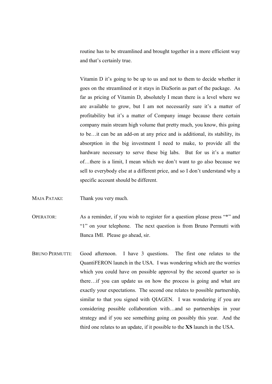routine has to be streamlined and brought together in a more efficient way and that's certainly true.

 Vitamin D it's going to be up to us and not to them to decide whether it goes on the streamlined or it stays in DiaSorin as part of the package. As far as pricing of Vitamin D, absolutely I mean there is a level where we are available to grow, but I am not necessarily sure it's a matter of profitability but it's a matter of Company image because there certain company main stream high volume that pretty much, you know, this going to be…it can be an add-on at any price and is additional, its stability, its absorption in the big investment I need to make, to provide all the hardware necessary to serve these big labs. But for us it's a matter of…there is a limit, I mean which we don't want to go also because we sell to everybody else at a different price, and so I don't understand why a specific account should be different.

MAJA PATAKI: Thank you very much.

OPERATOR: As a reminder, if you wish to register for a question please press "\*" and "1" on your telephone. The next question is from Bruno Permutti with Banca IMI. Please go ahead, sir.

BRUNO PERMUTTI: Good afternoon. I have 3 questions. The first one relates to the QuantiFERON launch in the USA. I was wondering which are the worries which you could have on possible approval by the second quarter so is there…if you can update us on how the process is going and what are exactly your expectations. The second one relates to possible partnership, similar to that you signed with QIAGEN. I was wondering if you are considering possible collaboration with…and so partnerships in your strategy and if you see something going on possibly this year. And the third one relates to an update, if it possible to the XS launch in the USA.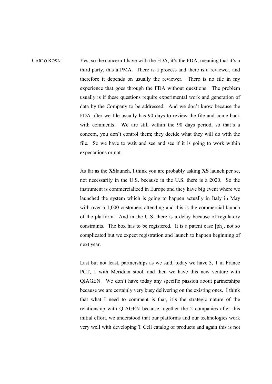CARLO ROSA: Yes, so the concern I have with the FDA, it's the FDA, meaning that it's a third party, this a PMA. There is a process and there is a reviewer, and therefore it depends on usually the reviewer. There is no file in my experience that goes through the FDA without questions. The problem usually is if these questions require experimental work and generation of data by the Company to be addressed. And we don't know because the FDA after we file usually has 90 days to review the file and come back with comments. We are still within the 90 days period, so that's a concern, you don't control them; they decide what they will do with the file. So we have to wait and see and see if it is going to work within expectations or not.

> As far as the XSlaunch, I think you are probably asking XS launch per se, not necessarily in the U.S. because in the U.S. there is a 2020. So the instrument is commercialized in Europe and they have big event where we launched the system which is going to happen actually in Italy in May with over a 1,000 customers attending and this is the commercial launch of the platform. And in the U.S. there is a delay because of regulatory constraints. The box has to be registered. It is a patent case [ph], not so complicated but we expect registration and launch to happen beginning of next year.

> Last but not least, partnerships as we said, today we have 3, 1 in France PCT, 1 with Meridian stool, and then we have this new venture with QIAGEN. We don't have today any specific passion about partnerships because we are certainly very busy delivering on the existing ones. I think that what I need to comment is that, it's the strategic nature of the relationship with QIAGEN because together the 2 companies after this initial effort, we understood that our platforms and our technologies work very well with developing T Cell catalog of products and again this is not